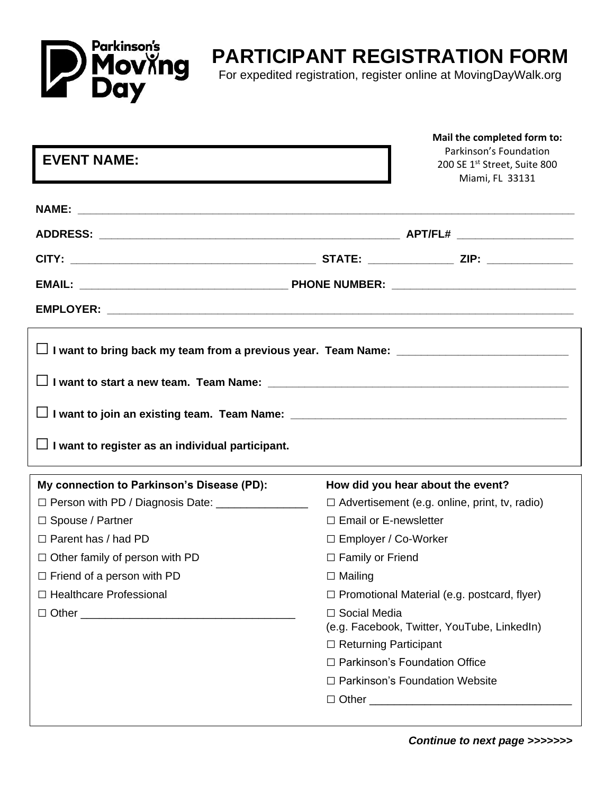

## **PARTICIPANT REGISTRATION FORM**

For expedited registration, register online at MovingDayWalk.org

| <b>EVENT NAME:</b>                                      |                                                   | Mail the completed form to:<br>Parkinson's Foundation<br>200 SE 1st Street, Suite 800<br>Miami, FL 33131 |  |
|---------------------------------------------------------|---------------------------------------------------|----------------------------------------------------------------------------------------------------------|--|
|                                                         |                                                   |                                                                                                          |  |
|                                                         |                                                   |                                                                                                          |  |
|                                                         |                                                   |                                                                                                          |  |
|                                                         |                                                   |                                                                                                          |  |
|                                                         |                                                   |                                                                                                          |  |
| $\Box$ I want to register as an individual participant. |                                                   |                                                                                                          |  |
|                                                         |                                                   |                                                                                                          |  |
| My connection to Parkinson's Disease (PD):              |                                                   | How did you hear about the event?                                                                        |  |
| □ Person with PD / Diagnosis Date: ________________     |                                                   | $\Box$ Advertisement (e.g. online, print, tv, radio)                                                     |  |
| □ Spouse / Partner<br>$\Box$ Parent has / had PD        | $\Box$ Email or E-newsletter                      |                                                                                                          |  |
| $\Box$ Other family of person with PD                   | □ Employer / Co-Worker<br>$\Box$ Family or Friend |                                                                                                          |  |
| $\Box$ Friend of a person with PD                       | $\Box$ Mailing                                    |                                                                                                          |  |
| □ Healthcare Professional                               |                                                   | $\Box$ Promotional Material (e.g. postcard, flyer)                                                       |  |
|                                                         | □ Social Media                                    | (e.g. Facebook, Twitter, YouTube, LinkedIn)                                                              |  |
|                                                         | □ Returning Participant                           |                                                                                                          |  |
|                                                         |                                                   | □ Parkinson's Foundation Office                                                                          |  |
|                                                         |                                                   | □ Parkinson's Foundation Website                                                                         |  |